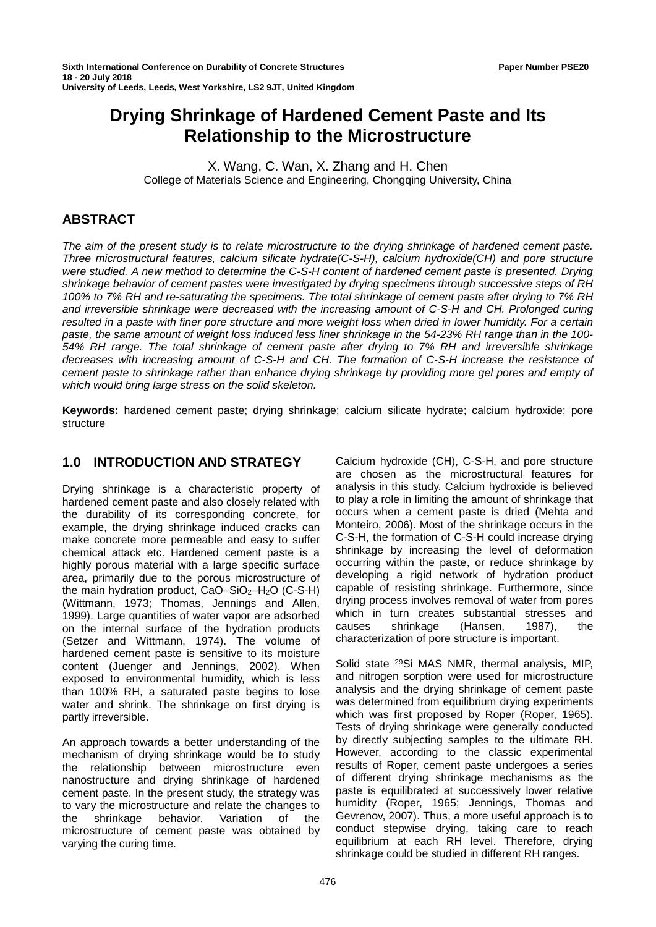# **Drying Shrinkage of Hardened Cement Paste and Its Relationship to the Microstructure**

X. Wang, C. Wan, X. Zhang and H. Chen College of Materials Science and Engineering, Chongqing University, China

# **ABSTRACT**

*The aim of the present study is to relate microstructure to the drying shrinkage of hardened cement paste. Three microstructural features, calcium silicate hydrate(C-S-H), calcium hydroxide(CH) and pore structure were studied. A new method to determine the C-S-H content of hardened cement paste is presented. Drying shrinkage behavior of cement pastes were investigated by drying specimens through successive steps of RH 100% to 7% RH and re-saturating the specimens. The total shrinkage of cement paste after drying to 7% RH and irreversible shrinkage were decreased with the increasing amount of C-S-H and CH. Prolonged curing resulted in a paste with finer pore structure and more weight loss when dried in lower humidity. For a certain paste, the same amount of weight loss induced less liner shrinkage in the 54-23% RH range than in the 100- 54% RH range. The total shrinkage of cement paste after drying to 7% RH and irreversible shrinkage decreases with increasing amount of C-S-H and CH. The formation of C-S-H increase the resistance of cement paste to shrinkage rather than enhance drying shrinkage by providing more gel pores and empty of which would bring large stress on the solid skeleton.*

**Keywords:** hardened cement paste; drying shrinkage; calcium silicate hydrate; calcium hydroxide; pore structure

# **1.0 INTRODUCTION AND STRATEGY**

Drying shrinkage is a characteristic property of hardened cement paste and also closely related with the durability of its corresponding concrete, for example, the drying shrinkage induced cracks can make concrete more permeable and easy to suffer chemical attack etc. Hardened cement paste is a highly porous material with a large specific surface area, primarily due to the porous microstructure of the main hydration product,  $CaO-SiO<sub>2</sub>-H<sub>2</sub>O$  (C-S-H) (Wittmann, 1973; Thomas, Jennings and Allen, 1999). Large quantities of water vapor are adsorbed on the internal surface of the hydration products (Setzer and Wittmann, 1974). The volume of hardened cement paste is sensitive to its moisture content (Juenger and Jennings, 2002). When exposed to environmental humidity, which is less than 100% RH, a saturated paste begins to lose water and shrink. The shrinkage on first drying is partly irreversible.

An approach towards a better understanding of the mechanism of drying shrinkage would be to study the relationship between microstructure even nanostructure and drying shrinkage of hardened cement paste. In the present study, the strategy was to vary the microstructure and relate the changes to the shrinkage behavior. Variation of the microstructure of cement paste was obtained by varying the curing time.

Calcium hydroxide (CH), C-S-H, and pore structure are chosen as the microstructural features for analysis in this study. Calcium hydroxide is believed to play a role in limiting the amount of shrinkage that occurs when a cement paste is dried (Mehta and Monteiro, 2006). Most of the shrinkage occurs in the C-S-H, the formation of C-S-H could increase drying shrinkage by increasing the level of deformation occurring within the paste, or reduce shrinkage by developing a rigid network of hydration product capable of resisting shrinkage. Furthermore, since drying process involves removal of water from pores which in turn creates substantial stresses and<br>causes shrinkage (Hansen, 1987), the causes shrinkage (Hansen, 1987), the characterization of pore structure is important.

Solid state 29Si MAS NMR, thermal analysis, MIP, and nitrogen sorption were used for microstructure analysis and the drying shrinkage of cement paste was determined from equilibrium drying experiments which was first proposed by Roper (Roper, 1965). Tests of drying shrinkage were generally conducted by directly subjecting samples to the ultimate RH. However, according to the classic experimental results of Roper, cement paste undergoes a series of different drying shrinkage mechanisms as the paste is equilibrated at successively lower relative humidity (Roper, 1965; Jennings, Thomas and Gevrenov, 2007). Thus, a more useful approach is to conduct stepwise drying, taking care to reach equilibrium at each RH level. Therefore, drying shrinkage could be studied in different RH ranges.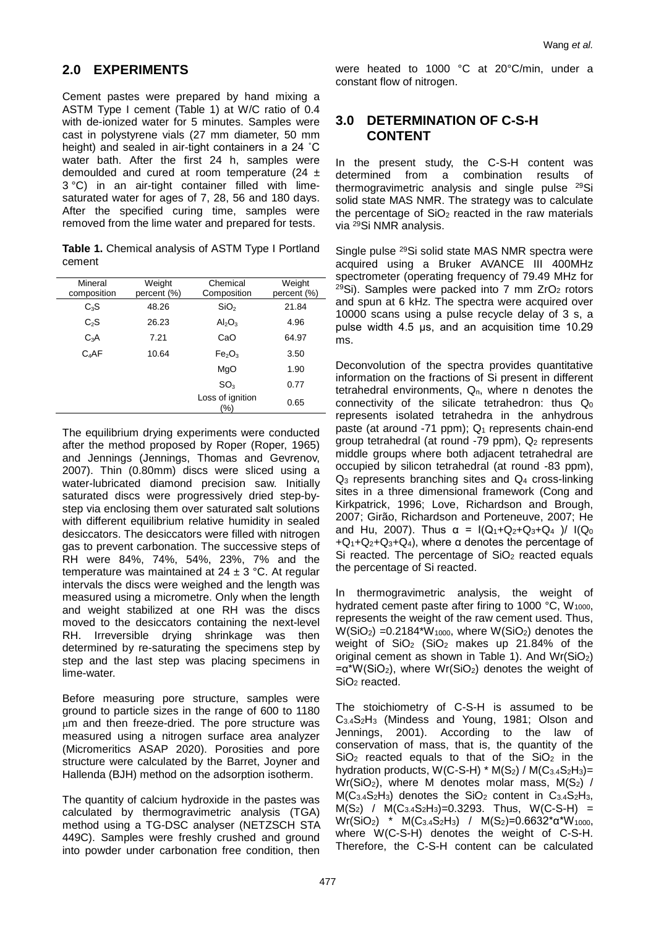# **2.0 EXPERIMENTS**

Cement pastes were prepared by hand mixing a ASTM Type I cement (Table 1) at W/C ratio of 0.4 with de-ionized water for 5 minutes. Samples were cast in polystyrene vials (27 mm diameter, 50 mm height) and sealed in air-tight containers in a 24 ˚C water bath. After the first 24 h, samples were demoulded and cured at room temperature (24  $\pm$ 3 °C) in an air-tight container filled with limesaturated water for ages of 7, 28, 56 and 180 days. After the specified curing time, samples were removed from the lime water and prepared for tests.

**Table 1.** Chemical analysis of ASTM Type I Portland cement

| Mineral<br>composition | Weight<br>percent (%) | Chemical<br>Composition        | Weight<br>percent (%) |  |
|------------------------|-----------------------|--------------------------------|-----------------------|--|
| $C_3S$                 | 48.26                 | SiO <sub>2</sub>               | 21.84                 |  |
| $C_2S$                 | 26.23                 | $Al_2O_3$                      | 4.96                  |  |
| $C_3A$                 | 7.21                  | CaO                            | 64.97                 |  |
| $C_4AF$                | 10.64                 | Fe <sub>2</sub> O <sub>3</sub> | 3.50                  |  |
|                        |                       | MgO                            | 1.90                  |  |
|                        |                       | SO <sub>3</sub>                | 0.77                  |  |
|                        |                       | Loss of ignition<br>(%)        | 0.65                  |  |

The equilibrium drying experiments were conducted after the method proposed by Roper (Roper, 1965) and Jennings (Jennings, Thomas and Gevrenov, 2007). Thin (0.80mm) discs were sliced using a water-lubricated diamond precision saw. Initially saturated discs were progressively dried step-bystep via enclosing them over saturated salt solutions with different equilibrium relative humidity in sealed desiccators. The desiccators were filled with nitrogen gas to prevent carbonation. The successive steps of RH were 84%, 74%, 54%, 23%, 7% and the temperature was maintained at  $24 \pm 3$  °C. At regular intervals the discs were weighed and the length was measured using a micrometre. Only when the length and weight stabilized at one RH was the discs moved to the desiccators containing the next-level RH. Irreversible drying shrinkage was then determined by re-saturating the specimens step by step and the last step was placing specimens in lime-water.

Before measuring pore structure, samples were ground to particle sizes in the range of 600 to 1180 μm and then freeze-dried. The pore structure was measured using a nitrogen surface area analyzer (Micromeritics ASAP 2020). Porosities and pore structure were calculated by the Barret, Joyner and Hallenda (BJH) method on the adsorption isotherm.

The quantity of calcium hydroxide in the pastes was calculated by thermogravimetric analysis (TGA) method using a TG-DSC analyser (NETZSCH STA 449C). Samples were freshly crushed and ground into powder under carbonation free condition, then

were heated to 1000 °C at 20°C/min, under a constant flow of nitrogen.

# **3.0 DETERMINATION OF C-S-H CONTENT**

In the present study, the C-S-H content was determined from a combination results of thermogravimetric analysis and single pulse 29Si solid state MAS NMR. The strategy was to calculate the percentage of  $SiO<sub>2</sub>$  reacted in the raw materials via 29Si NMR analysis.

Single pulse 29Si solid state MAS NMR spectra were acquired using a Bruker AVANCE III 400MHz spectrometer (operating frequency of 79.49 MHz for  $29$ Si). Samples were packed into 7 mm ZrO<sub>2</sub> rotors and spun at 6 kHz. The spectra were acquired over 10000 scans using a pulse recycle delay of 3 s, a pulse width 4.5 μs, and an acquisition time 10.29 ms.

Deconvolution of the spectra provides quantitative information on the fractions of Si present in different tetrahedral environments, Q<sub>n</sub>, where n denotes the connectivity of the silicate tetrahedron: thus Q<sub>0</sub> represents isolated tetrahedra in the anhydrous paste (at around  $-71$  ppm);  $Q_1$  represents chain-end group tetrahedral (at round  $-79$  ppm),  $Q_2$  represents middle groups where both adjacent tetrahedral are occupied by silicon tetrahedral (at round -83 ppm), Q3 represents branching sites and Q4 cross-linking sites in a three dimensional framework (Cong and Kirkpatrick, 1996; Love, Richardson and Brough, 2007; Girão, Richardson and Porteneuve, 2007; He and Hu, 2007). Thus  $\alpha = I(Q_1+Q_2+Q_3+Q_4) / I(Q_0)$  $+Q_1+Q_2+Q_3+Q_4$ , where a denotes the percentage of Si reacted. The percentage of  $SiO<sub>2</sub>$  reacted equals the percentage of Si reacted.

In thermogravimetric analysis, the weight of hydrated cement paste after firing to 1000  $^{\circ}$ C, W<sub>1000</sub>, represents the weight of the raw cement used. Thus,  $W(SiO<sub>2</sub>) = 0.2184*W<sub>1000</sub>$ , where  $W(SiO<sub>2</sub>)$  denotes the weight of SiO<sub>2</sub> (SiO<sub>2</sub> makes up 21.84% of the original cement as shown in Table 1). And  $Wr(SiO<sub>2</sub>)$  $=\alpha^*W(SiO_2)$ , where  $Wr(SiO_2)$  denotes the weight of SiO<sub>2</sub> reacted.

The stoichiometry of C-S-H is assumed to be C3.4S2H3 (Mindess and Young, 1981; Olson and Jennings, 2001). According to the law of conservation of mass, that is, the quantity of the  $SiO<sub>2</sub>$  reacted equals to that of the  $SiO<sub>2</sub>$  in the hydration products,  $W(C-S-H) * M(S_2) / M(C_{3.4}S_2H_3) =$  $Wr(SiO<sub>2</sub>)$ , where M denotes molar mass,  $M(S<sub>2</sub>)$  /  $M(C<sub>3.4</sub>S<sub>2</sub>H<sub>3</sub>)$  denotes the SiO<sub>2</sub> content in C<sub>3.4</sub>S<sub>2</sub>H<sub>3</sub>,  $M(S_2)$  /  $M(C_{3.4}S_2H_3)=0.3293$ . Thus,  $W(C-S-H)$  =  $Wr(SiO<sub>2</sub>)$  \* M(C<sub>3.4</sub>S<sub>2</sub>H<sub>3</sub>) / M(S<sub>2</sub>)=0.6632<sup>\*</sup>α<sup>\*</sup>W<sub>1000</sub>, where W(C-S-H) denotes the weight of C-S-H. Therefore, the C-S-H content can be calculated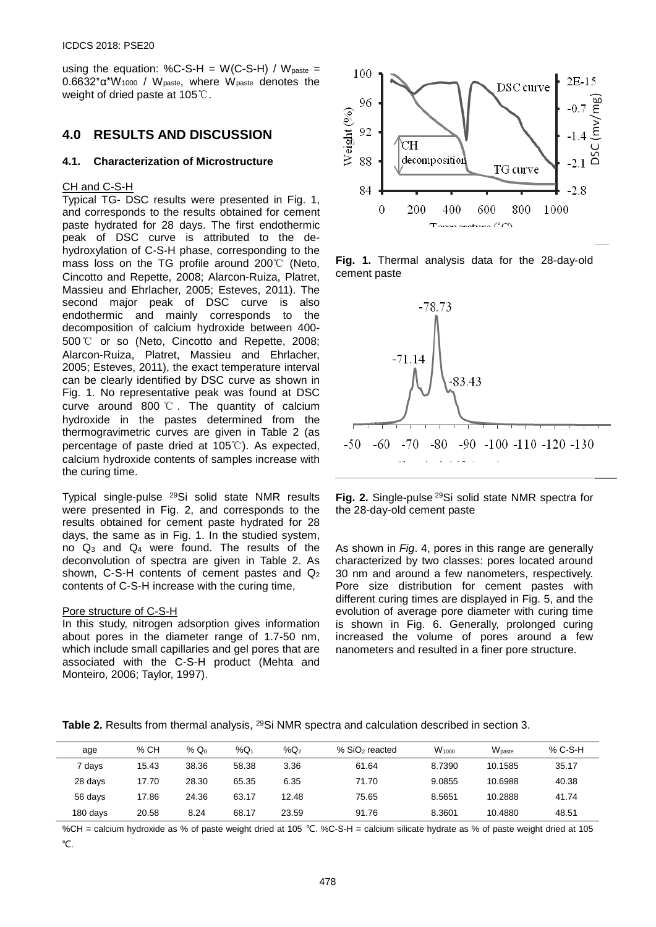using the equation: %C-S-H =  $W(C-S-H) / W_{\text{paste}} =$ 0.6632\*α\*W<sup>1000</sup> / Wpaste, where Wpaste denotes the weight of dried paste at 105℃.

# **4.0 RESULTS AND DISCUSSION**

### **4.1. Characterization of Microstructure**

### CH and C-S-H

Typical TG- DSC results were presented in Fig. 1, and corresponds to the results obtained for cement paste hydrated for 28 days. The first endothermic peak of DSC curve is attributed to the dehydroxylation of C-S-H phase, corresponding to the mass loss on the TG profile around 200℃ (Neto, Cincotto and Repette, 2008; Alarcon-Ruiza, Platret, Massieu and Ehrlacher, 2005; Esteves, 2011). The second major peak of DSC curve is also endothermic and mainly corresponds to the decomposition of calcium hydroxide between 400- 500℃ or so (Neto, Cincotto and Repette, 2008; Alarcon-Ruiza, Platret, Massieu and Ehrlacher, 2005; Esteves, 2011), the exact temperature interval can be clearly identified by DSC curve as shown in Fig. 1. No representative peak was found at DSC curve around 800 ℃ . The quantity of calcium hydroxide in the pastes determined from the thermogravimetric curves are given in Table 2 (as percentage of paste dried at 105℃). As expected, calcium hydroxide contents of samples increase with the curing time.

Typical single-pulse 29Si solid state NMR results were presented in Fig. 2, and corresponds to the results obtained for cement paste hydrated for 28 days, the same as in Fig. 1. In the studied system, no Q3 and Q4 were found. The results of the deconvolution of spectra are given in Table 2. As shown, C-S-H contents of cement pastes and Q2 contents of C-S-H increase with the curing time,

#### Pore structure of C-S-H

In this study, nitrogen adsorption gives information about pores in the diameter range of 1.7-50 nm, which include small capillaries and gel pores that are associated with the C-S-H product (Mehta and Monteiro, 2006; Taylor, 1997).



**Fig. 1.** Thermal analysis data for the 28-day-old cement paste



**Fig. 2.** Single-pulse 29Si solid state NMR spectra for the 28-day-old cement paste

As shown in *Fig*. 4, pores in this range are generally characterized by two classes: pores located around 30 nm and around a few nanometers, respectively. Pore size distribution for cement pastes with different curing times are displayed in Fig. 5, and the evolution of average pore diameter with curing time is shown in Fig. 6. Generally, prolonged curing increased the volume of pores around a few nanometers and resulted in a finer pore structure.

**Table 2.** Results from thermal analysis, 29Si NMR spectra and calculation described in section 3.

| age      | % CH  | % $Q_0$ | % $\mathsf{Q}_1$ | $\%$ Q2 | % SiO <sub>2</sub> reacted | $W_{1000}$ | $W_{\text{naste}}$ | % C-S-H |
|----------|-------|---------|------------------|---------|----------------------------|------------|--------------------|---------|
| 7 days   | 15.43 | 38.36   | 58.38            | 3.36    | 61.64                      | 8.7390     | 10.1585            | 35.17   |
| 28 days  | 17.70 | 28.30   | 65.35            | 6.35    | 71.70                      | 9.0855     | 10.6988            | 40.38   |
| 56 days  | 17.86 | 24.36   | 63.17            | 12.48   | 75.65                      | 8.5651     | 10.2888            | 41.74   |
| 180 days | 20.58 | 8.24    | 68.17            | 23.59   | 91.76                      | 8.3601     | 10.4880            | 48.51   |

%CH = calcium hydroxide as % of paste weight dried at 105 ℃. %C-S-H = calcium silicate hydrate as % of paste weight dried at 105 ℃.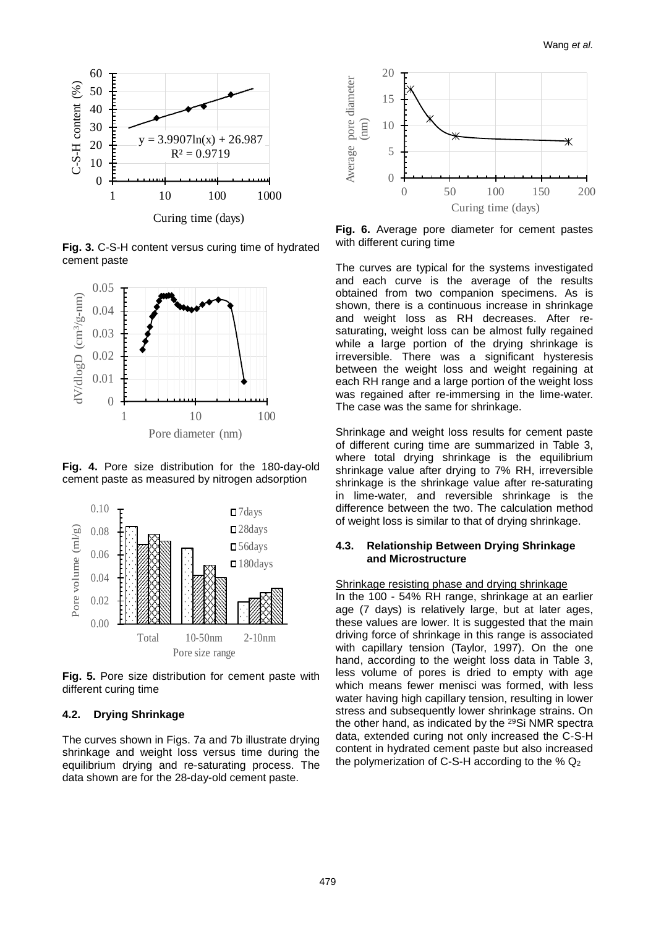

**Fig. 3.** C-S-H content versus curing time of hydrated cement paste



**Fig. 4.** Pore size distribution for the 180-day-old cement paste as measured by nitrogen adsorption



**Fig. 5.** Pore size distribution for cement paste with different curing time

## **4.2. Drying Shrinkage**

The curves shown in Figs. 7a and 7b illustrate drying shrinkage and weight loss versus time during the equilibrium drying and re-saturating process. The data shown are for the 28-day-old cement paste.



**Fig. 6.** Average pore diameter for cement pastes with different curing time

The curves are typical for the systems investigated and each curve is the average of the results obtained from two companion specimens. As is shown, there is a continuous increase in shrinkage and weight loss as RH decreases. After resaturating, weight loss can be almost fully regained while a large portion of the drying shrinkage is irreversible. There was a significant hysteresis between the weight loss and weight regaining at each RH range and a large portion of the weight loss was regained after re-immersing in the lime-water. The case was the same for shrinkage.

Shrinkage and weight loss results for cement paste of different curing time are summarized in Table 3, where total drying shrinkage is the equilibrium shrinkage value after drying to 7% RH, irreversible shrinkage is the shrinkage value after re-saturating in lime-water, and reversible shrinkage is the difference between the two. The calculation method of weight loss is similar to that of drying shrinkage.

## **4.3. Relationship Between Drying Shrinkage and Microstructure**

#### Shrinkage resisting phase and drying shrinkage

In the 100 - 54% RH range, shrinkage at an earlier age (7 days) is relatively large, but at later ages, these values are lower. It is suggested that the main driving force of shrinkage in this range is associated with capillary tension (Taylor, 1997). On the one hand, according to the weight loss data in Table 3, less volume of pores is dried to empty with age which means fewer menisci was formed, with less water having high capillary tension, resulting in lower stress and subsequently lower shrinkage strains. On the other hand, as indicated by the 29Si NMR spectra data, extended curing not only increased the C-S-H content in hydrated cement paste but also increased the polymerization of C-S-H according to the  $%$   $Q_2$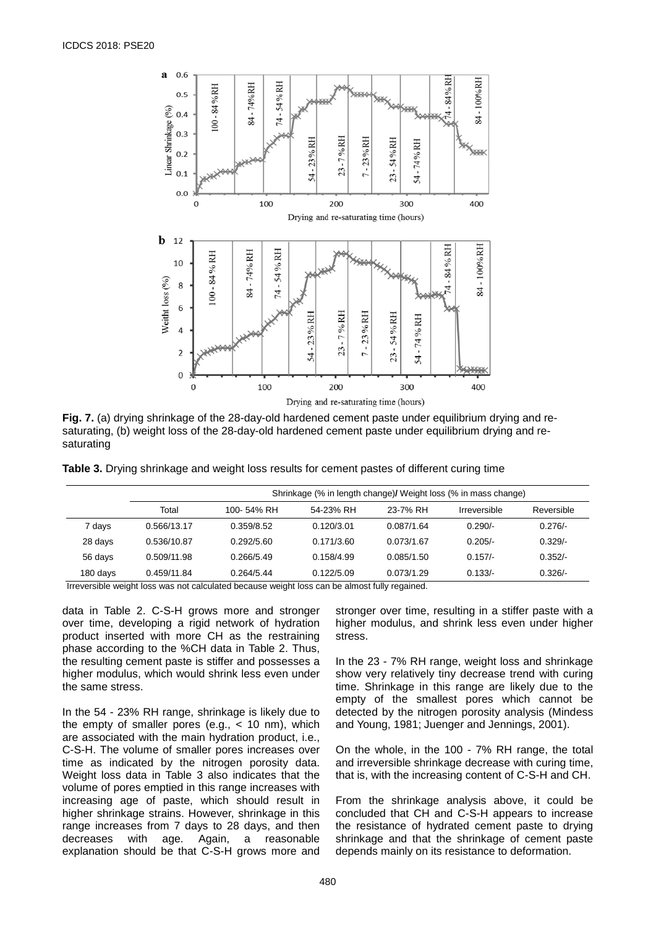

**Fig. 7.** (a) drying shrinkage of the 28-day-old hardened cement paste under equilibrium drying and resaturating, (b) weight loss of the 28-day-old hardened cement paste under equilibrium drying and resaturating

**Table 3.** Drying shrinkage and weight loss results for cement pastes of different curing time

|          | Shrinkage (% in length change)/ Weight loss (% in mass change) |            |            |            |              |            |
|----------|----------------------------------------------------------------|------------|------------|------------|--------------|------------|
|          | Total                                                          | 100-54% RH | 54-23% RH  | 23-7% RH   | Irreversible | Reversible |
| 7 days   | 0.566/13.17                                                    | 0.359/8.52 | 0.120/3.01 | 0.087/1.64 | $0.290/-$    | $0.276/-$  |
| 28 days  | 0.536/10.87                                                    | 0.292/5.60 | 0.171/3.60 | 0.073/1.67 | $0.205/-$    | $0.329/-$  |
| 56 days  | 0.509/11.98                                                    | 0.266/5.49 | 0.158/4.99 | 0.085/1.50 | $0.157/-$    | $0.352/-$  |
| 180 days | 0.459/11.84                                                    | 0.264/5.44 | 0.122/5.09 | 0.073/1.29 | $0.133/-$    | $0.326/-$  |

Irreversible weight loss was not calculated because weight loss can be almost fully regained.

data in Table 2. C-S-H grows more and stronger over time, developing a rigid network of hydration product inserted with more CH as the restraining phase according to the %CH data in Table 2. Thus, the resulting cement paste is stiffer and possesses a higher modulus, which would shrink less even under the same stress.

In the 54 - 23% RH range, shrinkage is likely due to the empty of smaller pores (e.g.,  $<$  10 nm), which are associated with the main hydration product, i.e., C-S-H. The volume of smaller pores increases over time as indicated by the nitrogen porosity data. Weight loss data in Table 3 also indicates that the volume of pores emptied in this range increases with increasing age of paste, which should result in higher shrinkage strains. However, shrinkage in this range increases from 7 days to 28 days, and then decreases with age. Again, a reasonable explanation should be that C-S-H grows more and stronger over time, resulting in a stiffer paste with a higher modulus, and shrink less even under higher stress.

In the 23 - 7% RH range, weight loss and shrinkage show very relatively tiny decrease trend with curing time. Shrinkage in this range are likely due to the empty of the smallest pores which cannot be detected by the nitrogen porosity analysis (Mindess and Young, 1981; Juenger and Jennings, 2001).

On the whole, in the 100 - 7% RH range, the total and irreversible shrinkage decrease with curing time, that is, with the increasing content of C-S-H and CH.

From the shrinkage analysis above, it could be concluded that CH and C-S-H appears to increase the resistance of hydrated cement paste to drying shrinkage and that the shrinkage of cement paste depends mainly on its resistance to deformation.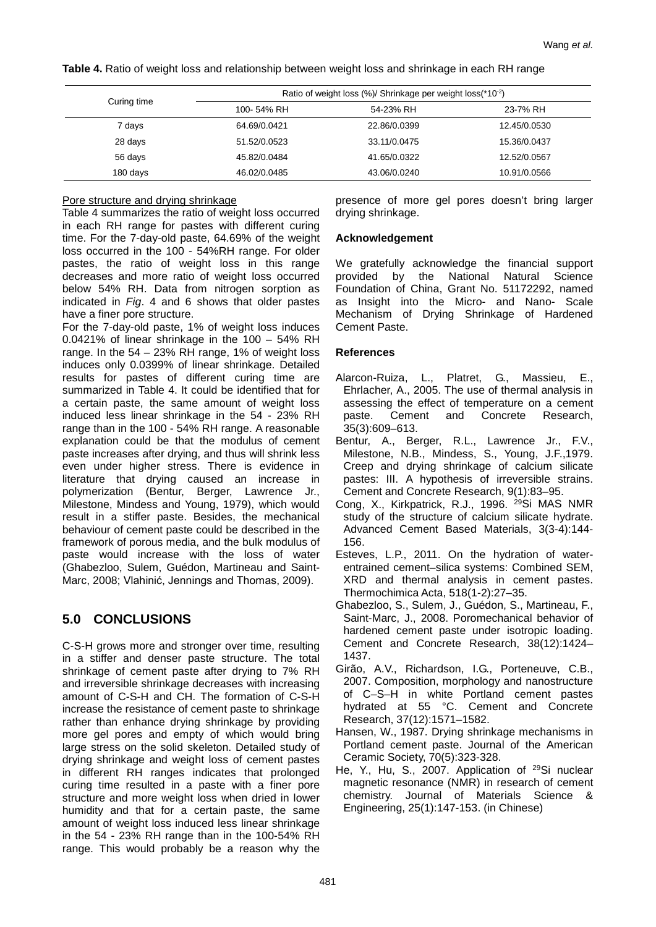**Table 4.** Ratio of weight loss and relationship between weight loss and shrinkage in each RH range

|             | Ratio of weight loss (%)/ Shrinkage per weight loss(*10 <sup>-2</sup> ) |              |              |  |  |
|-------------|-------------------------------------------------------------------------|--------------|--------------|--|--|
| Curing time | 100-54% RH                                                              | 54-23% RH    | 23-7% RH     |  |  |
| 7 days      | 64.69/0.0421                                                            | 22.86/0.0399 | 12.45/0.0530 |  |  |
| 28 days     | 51.52/0.0523                                                            | 33.11/0.0475 | 15.36/0.0437 |  |  |
| 56 days     | 45.82/0.0484                                                            | 41.65/0.0322 | 12.52/0.0567 |  |  |
| 180 days    | 46.02/0.0485                                                            | 43.06/0.0240 | 10.91/0.0566 |  |  |

## Pore structure and drying shrinkage

Table 4 summarizes the ratio of weight loss occurred in each RH range for pastes with different curing time. For the 7-day-old paste, 64.69% of the weight loss occurred in the 100 - 54%RH range. For older pastes, the ratio of weight loss in this range decreases and more ratio of weight loss occurred below 54% RH. Data from nitrogen sorption as indicated in *Fig*. 4 and 6 shows that older pastes have a finer pore structure.

For the 7-day-old paste, 1% of weight loss induces 0.0421% of linear shrinkage in the 100 – 54% RH range. In the  $54 - 23\%$  RH range, 1% of weight loss induces only 0.0399% of linear shrinkage. Detailed results for pastes of different curing time are summarized in Table 4. It could be identified that for a certain paste, the same amount of weight loss induced less linear shrinkage in the 54 - 23% RH range than in the 100 - 54% RH range. A reasonable explanation could be that the modulus of cement paste increases after drying, and thus will shrink less even under higher stress. There is evidence in literature that drying caused an increase in polymerization (Bentur, Berger, Lawrence Jr., Milestone, Mindess and Young, 1979), which would result in a stiffer paste. Besides, the mechanical behaviour of cement paste could be described in the framework of porous media, and the bulk modulus of paste would increase with the loss of water (Ghabezloo, Sulem, Guédon, Martineau and Saint-Marc, 2008; Vlahinić, Jennings and Thomas, 2009).

# **5.0 CONCLUSIONS**

C-S-H grows more and stronger over time, resulting in a stiffer and denser paste structure. The total shrinkage of cement paste after drying to 7% RH and irreversible shrinkage decreases with increasing amount of C-S-H and CH. The formation of C-S-H increase the resistance of cement paste to shrinkage rather than enhance drying shrinkage by providing more gel pores and empty of which would bring large stress on the solid skeleton. Detailed study of drying shrinkage and weight loss of cement pastes in different RH ranges indicates that prolonged curing time resulted in a paste with a finer pore structure and more weight loss when dried in lower humidity and that for a certain paste, the same amount of weight loss induced less linear shrinkage in the 54 - 23% RH range than in the 100-54% RH range. This would probably be a reason why the

presence of more gel pores doesn't bring larger drying shrinkage.

## **Acknowledgement**

We gratefully acknowledge the financial support provided by the National Natural Science Foundation of China, Grant No. 51172292, named as Insight into the Micro- and Nano- Scale Mechanism of Drying Shrinkage of Hardened Cement Paste.

## **References**

- Alarcon-Ruiza, L., Platret, G., Massieu, E., Ehrlacher, A., 2005. The use of thermal analysis in assessing the effect of temperature on a cement paste. Cement and Concrete Research, 35(3):609–613.
- Bentur, A., Berger, R.L., Lawrence Jr., F.V., Milestone, N.B., Mindess, S., Young, J.F.,1979. Creep and drying shrinkage of calcium silicate pastes: III. A hypothesis of irreversible strains. Cement and Concrete Research, 9(1):83–95.
- Cong, X., Kirkpatrick, R.J., 1996. 29Si MAS NMR study of the structure of calcium silicate hydrate. Advanced Cement Based Materials, 3(3-4):144- 156.
- Esteves, L.P., 2011. On the hydration of waterentrained cement–silica systems: Combined SEM, XRD and thermal analysis in cement pastes. Thermochimica Acta, 518(1-2):27–35.
- Ghabezloo, S., Sulem, J., Guédon, S., Martineau, F., Saint-Marc, J., 2008. Poromechanical behavior of hardened cement paste under isotropic loading. Cement and Concrete Research, 38(12):1424– 1437.
- Girão, A.V., Richardson, I.G., Porteneuve, C.B., 2007. Composition, morphology and nanostructure of C–S–H in white Portland cement pastes hydrated at 55 °C. Cement and Concrete Research, 37(12):1571–1582.
- Hansen, W., 1987. Drying shrinkage mechanisms in Portland cement paste. Journal of the American Ceramic Society, 70(5):323-328.
- He, Y., Hu, S., 2007. Application of <sup>29</sup>Si nuclear magnetic resonance (NMR) in research of cement chemistry. Journal of Materials Science & Engineering, 25(1):147-153. (in Chinese)